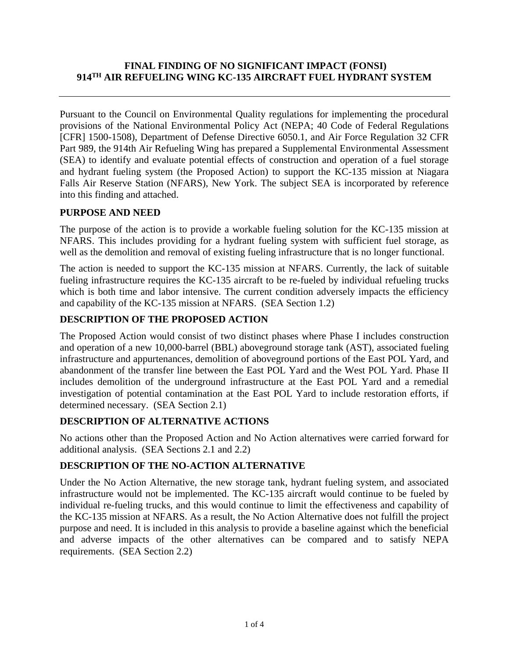### **FINAL FINDING OF NO SIGNIFICANT IMPACT (FONSI) 914TH AIR REFUELING WING KC-135 AIRCRAFT FUEL HYDRANT SYSTEM**

Pursuant to the Council on Environmental Quality regulations for implementing the procedural provisions of the National Environmental Policy Act (NEPA; 40 Code of Federal Regulations [CFR] 1500-1508), Department of Defense Directive 6050.1, and Air Force Regulation 32 CFR Part 989, the 914th Air Refueling Wing has prepared a Supplemental Environmental Assessment (SEA) to identify and evaluate potential effects of construction and operation of a fuel storage and hydrant fueling system (the Proposed Action) to support the KC-135 mission at Niagara Falls Air Reserve Station (NFARS), New York. The subject SEA is incorporated by reference into this finding and attached.

#### **PURPOSE AND NEED**

The purpose of the action is to provide a workable fueling solution for the KC-135 mission at NFARS. This includes providing for a hydrant fueling system with sufficient fuel storage, as well as the demolition and removal of existing fueling infrastructure that is no longer functional.

The action is needed to support the KC-135 mission at NFARS. Currently, the lack of suitable fueling infrastructure requires the KC-135 aircraft to be re-fueled by individual refueling trucks which is both time and labor intensive. The current condition adversely impacts the efficiency and capability of the KC-135 mission at NFARS. (SEA Section 1.2)

#### **DESCRIPTION OF THE PROPOSED ACTION**

The Proposed Action would consist of two distinct phases where Phase I includes construction and operation of a new 10,000-barrel (BBL) aboveground storage tank (AST), associated fueling infrastructure and appurtenances, demolition of aboveground portions of the East POL Yard, and abandonment of the transfer line between the East POL Yard and the West POL Yard. Phase II includes demolition of the underground infrastructure at the East POL Yard and a remedial investigation of potential contamination at the East POL Yard to include restoration efforts, if determined necessary. (SEA Section 2.1)

# **DESCRIPTION OF ALTERNATIVE ACTIONS**

No actions other than the Proposed Action and No Action alternatives were carried forward for additional analysis. (SEA Sections 2.1 and 2.2)

#### **DESCRIPTION OF THE NO-ACTION ALTERNATIVE**

Under the No Action Alternative, the new storage tank, hydrant fueling system, and associated infrastructure would not be implemented. The KC-135 aircraft would continue to be fueled by individual re-fueling trucks, and this would continue to limit the effectiveness and capability of the KC-135 mission at NFARS. As a result, the No Action Alternative does not fulfill the project purpose and need. It is included in this analysis to provide a baseline against which the beneficial and adverse impacts of the other alternatives can be compared and to satisfy NEPA requirements. (SEA Section 2.2)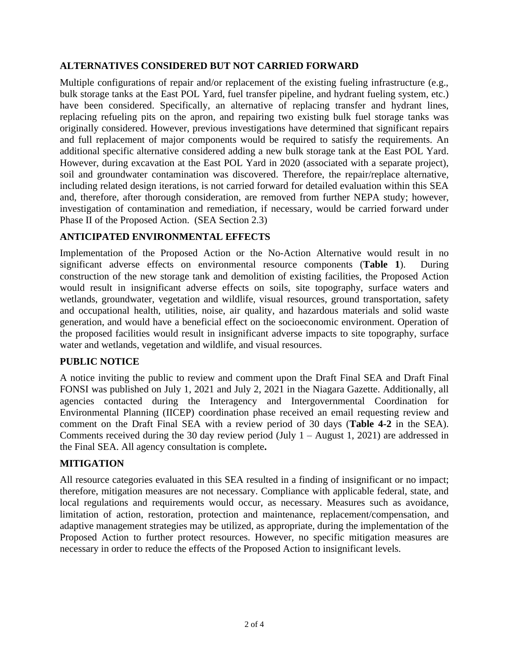### **ALTERNATIVES CONSIDERED BUT NOT CARRIED FORWARD**

Multiple configurations of repair and/or replacement of the existing fueling infrastructure (e.g., bulk storage tanks at the East POL Yard, fuel transfer pipeline, and hydrant fueling system, etc.) have been considered. Specifically, an alternative of replacing transfer and hydrant lines, replacing refueling pits on the apron, and repairing two existing bulk fuel storage tanks was originally considered. However, previous investigations have determined that significant repairs and full replacement of major components would be required to satisfy the requirements. An additional specific alternative considered adding a new bulk storage tank at the East POL Yard. However, during excavation at the East POL Yard in 2020 (associated with a separate project), soil and groundwater contamination was discovered. Therefore, the repair/replace alternative, including related design iterations, is not carried forward for detailed evaluation within this SEA and, therefore, after thorough consideration, are removed from further NEPA study; however, investigation of contamination and remediation, if necessary, would be carried forward under Phase II of the Proposed Action. (SEA Section 2.3)

### **ANTICIPATED ENVIRONMENTAL EFFECTS**

Implementation of the Proposed Action or the No-Action Alternative would result in no significant adverse effects on environmental resource components (**Table 1**). During construction of the new storage tank and demolition of existing facilities, the Proposed Action would result in insignificant adverse effects on soils, site topography, surface waters and wetlands, groundwater, vegetation and wildlife, visual resources, ground transportation, safety and occupational health, utilities, noise, air quality, and hazardous materials and solid waste generation, and would have a beneficial effect on the socioeconomic environment. Operation of the proposed facilities would result in insignificant adverse impacts to site topography, surface water and wetlands, vegetation and wildlife, and visual resources.

# **PUBLIC NOTICE**

A notice inviting the public to review and comment upon the Draft Final SEA and Draft Final FONSI was published on July 1, 2021 and July 2, 2021 in the Niagara Gazette. Additionally, all agencies contacted during the Interagency and Intergovernmental Coordination for Environmental Planning (IICEP) coordination phase received an email requesting review and comment on the Draft Final SEA with a review period of 30 days (**Table 4-2** in the SEA). Comments received during the 30 day review period (July  $1 -$  August 1, 2021) are addressed in the Final SEA. All agency consultation is complete**.**

# **MITIGATION**

All resource categories evaluated in this SEA resulted in a finding of insignificant or no impact; therefore, mitigation measures are not necessary. Compliance with applicable federal, state, and local regulations and requirements would occur, as necessary. Measures such as avoidance, limitation of action, restoration, protection and maintenance, replacement/compensation, and adaptive management strategies may be utilized, as appropriate, during the implementation of the Proposed Action to further protect resources. However, no specific mitigation measures are necessary in order to reduce the effects of the Proposed Action to insignificant levels.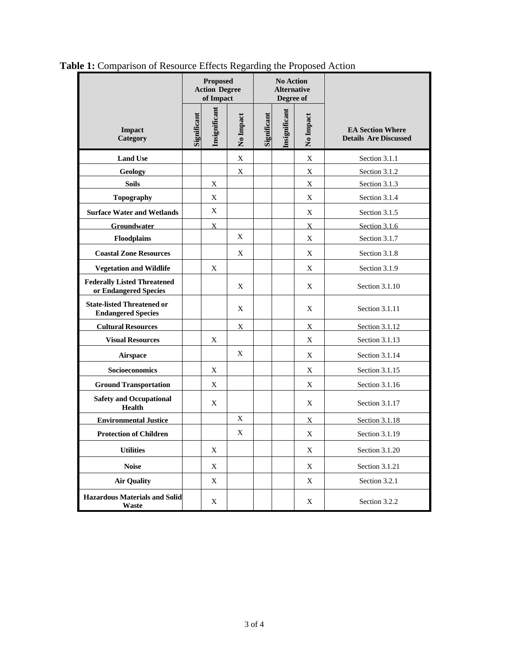|                                                                | <b>Proposed</b><br><b>Action Degree</b><br>of Impact |                  |             | <b>No Action</b><br><b>Alternative</b><br>Degree of |               |              |                                                         |
|----------------------------------------------------------------|------------------------------------------------------|------------------|-------------|-----------------------------------------------------|---------------|--------------|---------------------------------------------------------|
| Impact<br><b>Category</b>                                      | Significant                                          | Insignificant    | No Impact   | Significant                                         | Insignificant | No Impact    | <b>EA Section Where</b><br><b>Details Are Discussed</b> |
| <b>Land Use</b>                                                |                                                      |                  | $\mathbf X$ |                                                     |               | X            | Section 3.1.1                                           |
| <b>Geology</b>                                                 |                                                      |                  | X           |                                                     |               | X            | Section 3.1.2                                           |
| <b>Soils</b>                                                   |                                                      | X                |             |                                                     |               | X            | Section 3.1.3                                           |
| <b>Topography</b>                                              |                                                      | X                |             |                                                     |               | X            | Section 3.1.4                                           |
| <b>Surface Water and Wetlands</b>                              |                                                      | X                |             |                                                     |               | X            | Section 3.1.5                                           |
| Groundwater                                                    |                                                      | $\boldsymbol{X}$ |             |                                                     |               | $\mathbf{X}$ | Section 3.1.6                                           |
| Floodplains                                                    |                                                      |                  | X           |                                                     |               | X            | Section 3.1.7                                           |
| <b>Coastal Zone Resources</b>                                  |                                                      |                  | X           |                                                     |               | X            | Section 3.1.8                                           |
| <b>Vegetation and Wildlife</b>                                 |                                                      | X                |             |                                                     |               | X            | Section 3.1.9                                           |
| <b>Federally Listed Threatened</b><br>or Endangered Species    |                                                      |                  | X           |                                                     |               | X            | Section 3.1.10                                          |
| <b>State-listed Threatened or</b><br><b>Endangered Species</b> |                                                      |                  | X           |                                                     |               | X            | Section 3.1.11                                          |
| <b>Cultural Resources</b>                                      |                                                      |                  | X           |                                                     |               | X            | Section 3.1.12                                          |
| <b>Visual Resources</b>                                        |                                                      | X                |             |                                                     |               | X            | Section 3.1.13                                          |
| <b>Airspace</b>                                                |                                                      |                  | X           |                                                     |               | X            | Section 3.1.14                                          |
| Socioeconomics                                                 |                                                      | X                |             |                                                     |               | X            | Section 3.1.15                                          |
| <b>Ground Transportation</b>                                   |                                                      | X                |             |                                                     |               | X            | Section 3.1.16                                          |
| <b>Safety and Occupational</b><br><b>Health</b>                |                                                      | X                |             |                                                     |               | X            | Section 3.1.17                                          |
| <b>Environmental Justice</b>                                   |                                                      |                  | X           |                                                     |               | X            | Section 3.1.18                                          |
| <b>Protection of Children</b>                                  |                                                      |                  | X           |                                                     |               | X            | Section 3.1.19                                          |
| <b>Utilities</b>                                               |                                                      | X                |             |                                                     |               | X            | Section 3.1.20                                          |
| <b>Noise</b>                                                   |                                                      | X                |             |                                                     |               | X            | Section 3.1.21                                          |
| <b>Air Quality</b>                                             |                                                      | $\mathbf X$      |             |                                                     |               | X            | Section 3.2.1                                           |
| <b>Hazardous Materials and Solid</b><br>Waste                  |                                                      | X                |             |                                                     |               | X            | Section 3.2.2                                           |

**Table 1:** Comparison of Resource Effects Regarding the Proposed Action